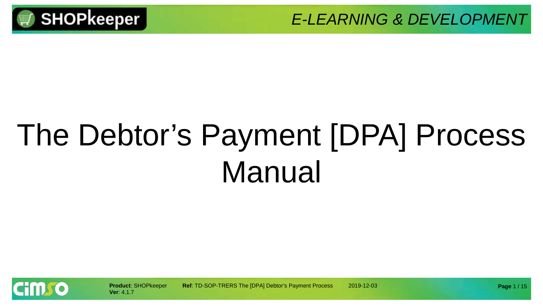

# The Debtor's Payment [DPA] Process Manual

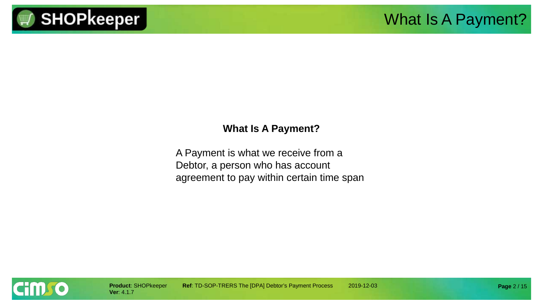

#### **What Is A Payment?**

A Payment is what we receive from a Debtor, a person who has account agreement to pay within certain time span

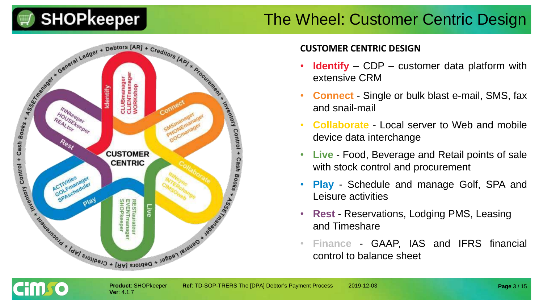#### The Wheel: Customer Centric Design



**Ver**: 4.1.7

**Cimro** 

#### **CUSTOMER CENTRIC DESIGN**

- **Identify** CDP customer data platform with extensive CRM
- **Connect** Single or bulk blast e-mail, SMS, fax and snail-mail
- **Collaborate** Local server to Web and mobile device data interchange
- **Live** Food, Beverage and Retail points of sale with stock control and procurement
- **Play** Schedule and manage Golf, SPA and Leisure activities
- **Rest** Reservations, Lodging PMS, Leasing and Timeshare
- **Finance** GAAP, IAS and IFRS financial control to balance sheet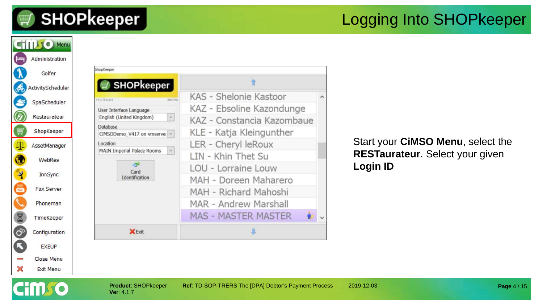НПИО

#### Logging Into SHOPkeeper



#### Start your **CiMSO Menu**, select the **RESTaurateur**. Select your given **Login ID**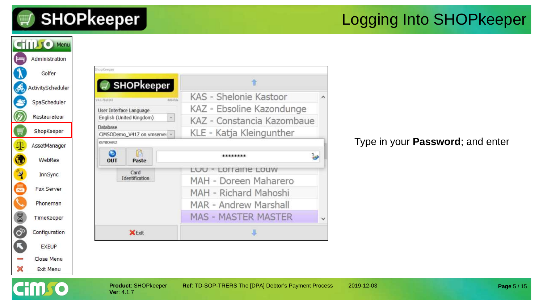**HMTO** 

#### Logging Into SHOPkeeper



#### Type in your **Password**; and enter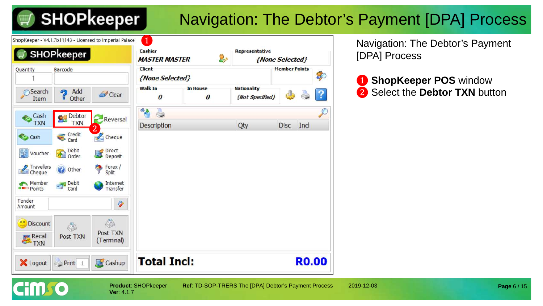ShopKeeper - V4.1.7b11143 - Licensed to Imperial Palace

## Navigation: The Debtor's Payment [DPA] Process

| <b>SHOPkeeper</b>           |                              |                        | Cashier              |                                          | Representative                        |                      |     |
|-----------------------------|------------------------------|------------------------|----------------------|------------------------------------------|---------------------------------------|----------------------|-----|
|                             |                              |                        | <b>MASTER MASTER</b> | 8                                        |                                       | {None Selected}      |     |
| Barcode<br>Quantity         |                              |                        | <b>Client</b>        |                                          |                                       | <b>Member Points</b> |     |
|                             |                              |                        | {None Selected}      |                                          |                                       |                      |     |
| Search<br>൭<br>Item         | Add<br>Other<br>◼            | Clear                  | <b>Walk In</b><br>0  | <b>In House</b><br>$\boldsymbol{\theta}$ | <b>Nationality</b><br>{Not Specified} |                      |     |
| Cash                        | Debtor                       | Reversal               | $\mathbf{A}$         |                                          |                                       |                      |     |
| <b>TXN</b>                  | <b>TXN</b><br>$\overline{2}$ |                        | Description          |                                          | Qty                                   | <b>Disc</b>          | Inc |
| <b>Cash</b>                 | Credit<br>Card               | Cheque                 |                      |                                          |                                       |                      |     |
| 翡<br>Voucher<br>有目          | Debit<br>Order               | Direct<br>Deposit      |                      |                                          |                                       |                      |     |
| Travellers<br>Cheque        | Other                        | Forex /<br>Split       |                      |                                          |                                       |                      |     |
| Member<br><b>DED</b> Points | Debit<br>Card                | Internet<br>Transfer   |                      |                                          |                                       |                      |     |
| Tender<br>Amount            |                              | Ý                      |                      |                                          |                                       |                      |     |
| Discount                    | Ó                            | G                      |                      |                                          |                                       |                      |     |
| <b>Recall</b><br><b>TXN</b> | Post TXN                     | Post TXN<br>(Terminal) |                      |                                          |                                       |                      |     |
| X Logout                    | Print 1                      | Cashup                 | <b>Total Incl:</b>   |                                          |                                       |                      | RO  |

Navigation: The Debtor's Payment [DPA] Process

❶ **ShopKeeper POS** window ❷ Select the **Debtor TXN** button

**Ver**: 4.1.7

**Product**: SHOPkeeper **Ref**: TD-SOP-TRERS The [DPA] Debtor's Payment Process 2019-12-03 **Page** 6 / 15

Disc Incl

\$

?

**RO.00**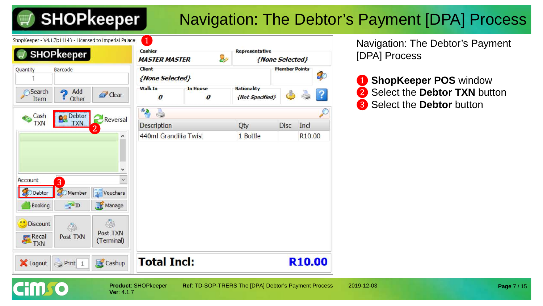ShopKeeper - V4.1.7b11143 - Licensed to Imperial Palace

## Navigation: The Debtor's Payment [DPA] Process

|                                              | <b>SHOPkeeper</b>      |                             | <b>MASTER MASTER</b>               | 2                                   | Representative                        | {None Selected}      |                    |           |
|----------------------------------------------|------------------------|-----------------------------|------------------------------------|-------------------------------------|---------------------------------------|----------------------|--------------------|-----------|
| Quantity                                     | Barcode                |                             | <b>Client</b><br>{None Selected}   |                                     |                                       | <b>Member Points</b> |                    | 80        |
| Search<br>Item                               | Add<br>ക<br>Other<br>ū | Clear                       | <b>Walk In</b><br>$\boldsymbol{0}$ | <b>In House</b><br>$\boldsymbol{0}$ | <b>Nationality</b><br>{Not Specified} | d.                   |                    | ?         |
| Cash                                         | <b>Debtor</b><br>92    |                             | ್ಡಾ                                |                                     |                                       |                      |                    | $\varphi$ |
| <b>TXN</b>                                   | <b>TXN</b>             | Reversal<br>2               | <b>Description</b>                 |                                     | Qty                                   | <b>Disc</b>          | Ind                |           |
|                                              |                        | ^                           | 440ml Grandilia Twist              |                                     | 1 Bottle                              |                      | R <sub>10.00</sub> |           |
|                                              |                        | v                           |                                    |                                     |                                       |                      |                    |           |
| Account                                      | $\overline{3}$         | $\checkmark$<br>豔           |                                    |                                     |                                       |                      |                    |           |
| <b>Debtor</b><br><b>Booking</b>              | Member<br>30<br>$-10$  | Vouchers<br>Manage          |                                    |                                     |                                       |                      |                    |           |
| з<br><b>Discount</b><br><b>Recall</b><br>TXN | G<br>Post TXN          | Ó<br>Post TXN<br>(Terminal) |                                    |                                     |                                       |                      |                    |           |

❶

**Ver**: 4.1.7

Navigation: The Debtor's Payment [DPA] Process

**D** ShopKeeper POS window **2** Select the **Debtor TXN** button ❸ Select the **Debtor** button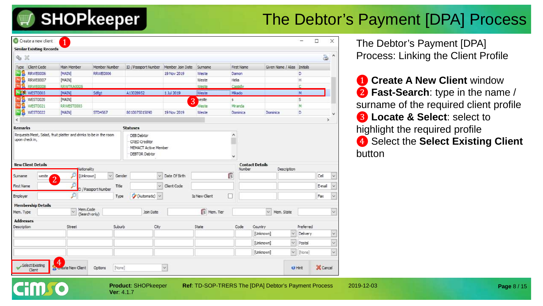#### The Debtor's Payment [DPA] Process

|                           | Create a new client<br><b>Similar Existing Records</b> |                                                                  |                     |        |                                                                                    |                         |               |    |            |                                                      |               | $\Box$   | $\times$ | The Debtor's Payment [DPA]                    |
|---------------------------|--------------------------------------------------------|------------------------------------------------------------------|---------------------|--------|------------------------------------------------------------------------------------|-------------------------|---------------|----|------------|------------------------------------------------------|---------------|----------|----------|-----------------------------------------------|
| $Q_{\alpha} \times$       |                                                        |                                                                  |                     |        |                                                                                    |                         |               |    |            |                                                      |               | à        |          | <b>Process: Linking the Client Profile</b>    |
| Type                      | <b>Client Code</b>                                     | Main Member                                                      | Member Number       |        | ID / Passport Number   Member Join Date                                            |                         | Surname       |    | First Name | Given Name / Alias Initials                          |               |          |          |                                               |
|                           | RRWE0006                                               | <b>MAIN</b>                                                      | RRWE0006            |        |                                                                                    | 19 Nov 2019             | Weste         |    | Damon      |                                                      | Ð             |          |          |                                               |
|                           | <b>RRWE0007</b>                                        | [MAIN]                                                           |                     |        |                                                                                    |                         | Weste         |    | Hela       |                                                      | H             |          |          | <b>1</b> Create A New Client window           |
|                           | <b>RRWE0008</b>                                        | RRWTRA0005                                                       |                     |        |                                                                                    |                         | Weste         |    | Cassidy    |                                                      |               |          |          |                                               |
| <b>WEST0003</b>           |                                                        | [MAIN]                                                           | Sdfgt               |        | A13028952                                                                          | 1 Jul 2019              | Weste         |    | Mkado      |                                                      | M             |          |          | 2 Fast-Search: type in the name /             |
|                           | WEST0020                                               | [MAIN]                                                           |                     |        |                                                                                    |                         | veste<br>3    | s. |            |                                                      | S             |          |          |                                               |
|                           | WEST0021                                               | RRWEST0003                                                       |                     |        |                                                                                    |                         | Neste         |    | Miranda    |                                                      | M             |          |          | surname of the required client profile        |
| M8                        | WEST0022                                               | [MAIN]                                                           | STD4567             |        | 8010075015090                                                                      | 19 Nov 2019             | Weste         |    | Dominica   | Dominica                                             | D             |          |          | <b>8</b> Locate & Select: select to           |
|                           |                                                        |                                                                  |                     |        |                                                                                    |                         |               |    |            |                                                      |               |          | ь        |                                               |
| <b>Remarks</b>            |                                                        |                                                                  |                     |        | <b>Statuses</b>                                                                    |                         |               |    |            |                                                      |               |          |          | highlight the required profile                |
| upon check in,            |                                                        | Requests Meat, Salad, fruit platter and drinks to be in the room |                     |        | DEB Debtor<br>CRED Creditor<br><b>MEMACT Active Member</b><br><b>DEBTOR Debtor</b> |                         |               |    |            |                                                      |               |          |          | 4 Select the Select Existing Client<br>button |
| <b>New Client Details</b> |                                                        | lationality                                                      |                     |        |                                                                                    |                         |               |    | Number     | <b>Contact Details</b><br>Description                |               |          |          |                                               |
| Surname                   | weste<br>$\overline{2}$                                | [Unknown]                                                        | v                   | Gender |                                                                                    | Date Of Birth<br>$\vee$ |               | C  |            |                                                      |               | Cell     |          |                                               |
| First Name                |                                                        |                                                                  | D / Passport Number | Title  |                                                                                    | $\vee$<br>Client Code   |               |    |            |                                                      |               | E-mail   |          |                                               |
| Employer                  |                                                        |                                                                  |                     | Type   | (Automatic) v                                                                      |                         | Is New Client | □  |            |                                                      |               | Fax      |          |                                               |
|                           | <b>Membership Details</b>                              |                                                                  |                     |        |                                                                                    |                         |               |    |            |                                                      |               |          |          |                                               |
| Mem. Type                 |                                                        | Mem.Code                                                         | (Search only)       |        | Join Date                                                                          |                         | Mem. Tier     |    |            | $\vee$ Mem. State                                    |               |          |          |                                               |
| <b>Addresses</b>          |                                                        |                                                                  |                     |        |                                                                                    |                         |               |    |            |                                                      |               |          |          |                                               |
| Description               |                                                        | Street                                                           |                     | Suburb | City                                                                               |                         | State         |    | Code       | Country                                              | Preferred     |          |          |                                               |
|                           |                                                        |                                                                  |                     |        |                                                                                    |                         |               |    |            | [Unknown]<br>$\sim$                                  | Delivery      |          |          |                                               |
|                           |                                                        |                                                                  |                     |        |                                                                                    |                         |               |    |            | $\vee$<br>[Unknown]                                  | Postal        |          |          |                                               |
|                           |                                                        |                                                                  |                     |        |                                                                                    |                         |               |    |            | [Unknown]                                            | $\vee$ [None] |          |          |                                               |
|                           | Select Existing<br>Client                              | $\overline{4}$<br><b>Late New Client</b>                         | Options             | [None] |                                                                                    | v.                      |               |    |            | <b>V</b> Hint                                        |               | X Cancel |          |                                               |
|                           |                                                        |                                                                  |                     |        |                                                                                    |                         |               |    |            |                                                      |               |          |          |                                               |
| 22                        | n n l                                                  |                                                                  |                     |        | <b>Product: SHOPkeeper</b>                                                         |                         |               |    |            | Ref: TD-SOP-TRERS The [DPA] Debtor's Payment Process |               |          |          | 2019-12-03<br>Page 8 / 15                     |

**Ver**: 4.1.7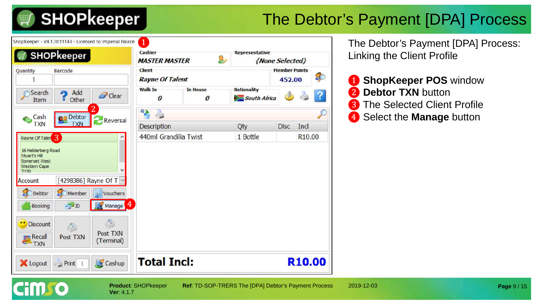and the season of the season of the season of the season of the season of the season of the season of the season of the season of the season of the season of the season of the season of the season of the season of the seas

### The Debtor's Payment [DPA] Process

|                             | SHOPkeeper             |                         | Cashier<br><b>MASTER MASTER</b>         | 8,                   | Representative<br>{None Selected}  |                                |                    |    |
|-----------------------------|------------------------|-------------------------|-----------------------------------------|----------------------|------------------------------------|--------------------------------|--------------------|----|
| Quantity                    | Barcode                |                         | Client<br><b>Rayne Of Talent</b>        |                      |                                    | <b>Member Points</b><br>452.00 |                    | 80 |
| Search<br>Item              | Add<br>ച<br>Other<br>π | Clear                   | <b>Walk In</b><br>$\boldsymbol{\theta}$ | <b>In House</b><br>0 | <b>Nationality</b><br>South Africa | €                              |                    |    |
| Cash                        | Debtor                 | $\overline{\mathbf{2}}$ | 4B                                      |                      |                                    |                                |                    |    |
| <b>TXN</b>                  | <b>TXN</b>             | Reversal                | Description                             |                      | Qty                                | <b>Disc</b>                    | Incl               |    |
| Rayne Of Talen 3            |                        |                         | 440ml Grandilia Twist                   |                      | 1 Bottle                           |                                | R <sub>10.00</sub> |    |
| Account                     | [4298386] Rayne Of T \ |                         |                                         |                      |                                    |                                |                    |    |
| <b>S</b> ODebtor            | Member                 | Vouchers                |                                         |                      |                                    |                                |                    |    |
| <b>Booking</b>              | F <sub>D</sub>         | 4<br>Manage             |                                         |                      |                                    |                                |                    |    |
| <b>U</b> Discount           | O                      | Ó                       |                                         |                      |                                    |                                |                    |    |
| <b>Recall</b><br><b>TXN</b> | Post TXN               | Post TXN<br>(Terminal)  |                                         |                      |                                    |                                |                    |    |

**Ver**: 4.1.7

The Debtor's Payment [DPA] Process: Linking the Client Profile

 ShopKeeper POS window Debtor TXN button The Selected Client Profile Select the **Manage** button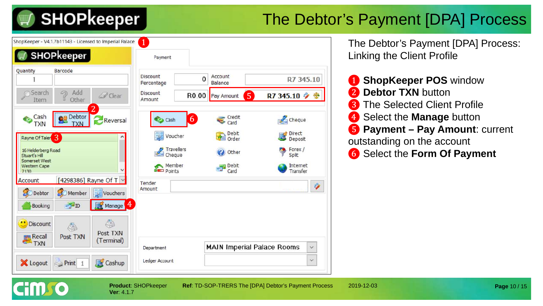### The Debtor's Payment [DPA] Process

ShopKeeper - V4.1.7b11143 - Licensed to Imperial Palace **SHOPkeeper** Payment Barcode Quantity **Discount** Account  $\Omega$ R7 345.10 Percentage **Balance** a Add **Search Discount** Ocear ❺ R0.00 Pay Amount R7 345.10 少 零 Item Amount ❷ Debtor Credit<br>Card Cash  $6<sup>6</sup>$ € Cheque Cash **TXN TXN** Debit Direct Voucher Rayne Of Taler<sup>3</sup> Deposit **Travellers** Forex / 16 Helderberg Road Other Cheque Split Stuart's Hill Somerset West Member Debit<br>Card Internet **Western Cape** Transfer  $p_{\text{oints}}$ 7130 [4298386] Rayne Of T  $\vee$ Account Tender Amount **Debtor** Member Vouchers  $-7D$ ❹ Booking Ó \*\* Discount ♦ Post TXN **ER** Recall Post TXN (Terminal) **MAIN Imperial Palace Rooms** Department X Logout  $\bullet$  Print 1 Cashup Ledger Account

**Ver**: 4.1.7

The Debtor's Payment [DPA] Process: Linking the Client Profile

 ShopKeeper POS window **Debtor TXN** button The Selected Client Profile Select the **Manage** button **Payment – Pay Amount**: current outstanding on the account Select the **Form Of Payment**

V

×

 $\checkmark$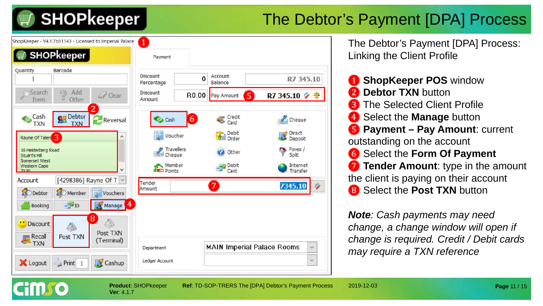### The Debtor's Payment [DPA] Process

ShopKeeper - V4.1.7b11143 - Licensed to Imperial Palace

|                                                      | <b>SHOPkeeper</b>                               |                            | Payment                 |                                       |                      |
|------------------------------------------------------|-------------------------------------------------|----------------------------|-------------------------|---------------------------------------|----------------------|
| Quantity                                             | <b>Barcode</b>                                  |                            | Discount<br>Percentage  | Account<br>$\bf{0}$<br><b>Balance</b> | R7 345.10            |
| Search<br>Item                                       | Add<br>$\mathcal{D}$<br>Other<br>$\overline{u}$ | Clear                      | Discount<br>Amount      | $5^{\circ}$<br>R0.00<br>Pay Amount    | R7 345.10 少 零        |
| Cash<br><b>TXN</b>                                   | Debtor<br><b>TXN</b>                            | $\overline{2}$<br>Reversal | Cash                    | Credit<br>$\vert 6 \vert$<br>Card     | Cheque               |
| Rayne Of Talen                                       |                                                 | ۸                          | Voucher                 | Debit<br>È<br>Order                   | Direct<br>Deposit    |
| 16 Helderberg Road<br>Stuart's Hill<br>Somerset West |                                                 |                            | Travellers              | Other                                 | Forex /<br>Split     |
| <b>Western Cape</b><br>7130                          |                                                 |                            | Member<br><b>Points</b> | Debit<br>Card                         | Internet<br>Transfer |
| Account                                              |                                                 | [4298386] Rayne Of T v     | Tender                  | $\overline{7}$                        | Ý.<br>7345.10        |
| <b>Debtor</b>                                        | <b>S</b> OMember                                | Vouchers                   | Amount                  |                                       |                      |
| <b>Booking</b>                                       | $-D$                                            | 4<br>Manage                |                         |                                       |                      |
| <b>Discount</b>                                      | S                                               | 8<br>d.                    |                         |                                       |                      |
| <b>Recall</b>                                        | Post TXN                                        | Post TXN<br>(Terminal)     |                         |                                       |                      |
|                                                      |                                                 |                            | Department              | <b>MAIN Imperial Palace Rooms</b>     | $\checkmark$         |
| <b>CA</b> TXN                                        |                                                 |                            |                         |                                       |                      |

The Debtor's Payment [DPA] Process: Linking the Client Profile

 ShopKeeper POS window Debtor TXN button The Selected Client Profile Select the **Manage** button **Payment – Pay Amount**: current outstanding on the account Select the **Form Of Payment**  $\bullet$  **Tender Amount**: type in the amount the client is paying on their account Select the **Post TXN** button

*Note: Cash payments may need change, a change window will open if change is required. Credit / Debit cards may require a TXN reference*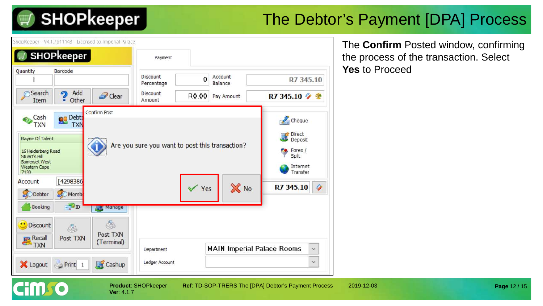#### The Debtor's Payment [DPA] Process

ShanKeener - V4 1 7h11142 - Licenced to Imperial Palace

| endovecher - A4' PLATI HJ - FINCIPEA IN INIMERIAL Laranc                                                                                                                                                                                                                                 |                                                 |                                   |                                                                                                | The <b>Confirm</b> Posted window, confirming |
|------------------------------------------------------------------------------------------------------------------------------------------------------------------------------------------------------------------------------------------------------------------------------------------|-------------------------------------------------|-----------------------------------|------------------------------------------------------------------------------------------------|----------------------------------------------|
| <b>SHOPkeeper</b>                                                                                                                                                                                                                                                                        | Payment                                         |                                   |                                                                                                | the process of the transaction. Select       |
| Quantity<br>Barcode                                                                                                                                                                                                                                                                      | <b>Discount</b><br>Percentage                   | Account<br>$\mathbf 0$<br>Balance | R7 345.10                                                                                      | <b>Yes to Proceed</b>                        |
| a Add<br>Search<br>Clear<br>$\frac{1}{2}$ Other<br>Item                                                                                                                                                                                                                                  | <b>Discount</b><br>Amount                       | R0.00<br>Pay Amount               | R7 345.10 少 参                                                                                  |                                              |
| Confirm Post<br><b>Ba</b> Debte<br>Cash<br>€<br><b>TXN</b><br><b>TXN</b><br>Rayne Of Talent<br>16 Helderberg Road<br>Stuart's Hill<br>Somerset West<br>Western Cape<br>7130<br>[4298386]<br>Account<br><b>OD</b> Debtor<br>Memb<br>$=$ $\frac{1}{2}$ ID<br>Booking<br><b>Ask Manager</b> | Are you sure you want to post this transaction? | X No<br>$\sqrt{Y}$ es             | Cheque<br>Direct<br>Deposi<br>Deposit<br>Forex /<br>Split<br>Internet<br>Transfer<br>R7 345.10 |                                              |
| ¢<br><sup>"</sup> Discount<br>4<br>Post TXN<br><b>Recall</b><br>TXN<br>Post TXN<br>(Terminal)                                                                                                                                                                                            | Department                                      | <b>MAIN Imperial Palace Rooms</b> | $\checkmark$                                                                                   |                                              |
| Cashup<br>X Logout<br>$\Rightarrow$ Print 1                                                                                                                                                                                                                                              | Ledger Account                                  |                                   | v.                                                                                             |                                              |
| r:mca                                                                                                                                                                                                                                                                                    | <b>Product: SHOPkeeper</b>                      |                                   | Ref: TD-SOP-TRERS The [DPA] Debtor's Payment Process                                           | 2019-12-03<br>Page 12 / 15                   |

**Ver**: 4.1.7

**Cimro**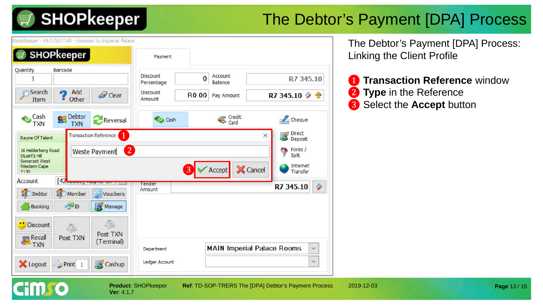### The Debtor's Payment [DPA] Process

hopKeeper - V4.1.7b11143 - Licensed to Imperial Palace



**Ver**: 4.1.7

The Debtor's Payment [DPA] Process: Linking the Client Profile

**1 Transaction Reference** window ❷ **Type** in the Reference ❸ Select the **Accept** button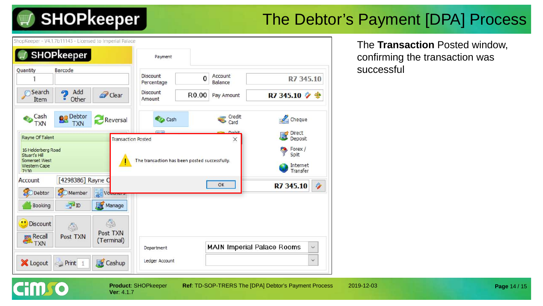#### The Debtor's Payment [DPA] Process

ShopKeeper - V4.1.7b11143 - Licensed to Imperial Palace



**Ver**: 4.1.7

The **Transaction** Posted window, confirming the transaction was successful